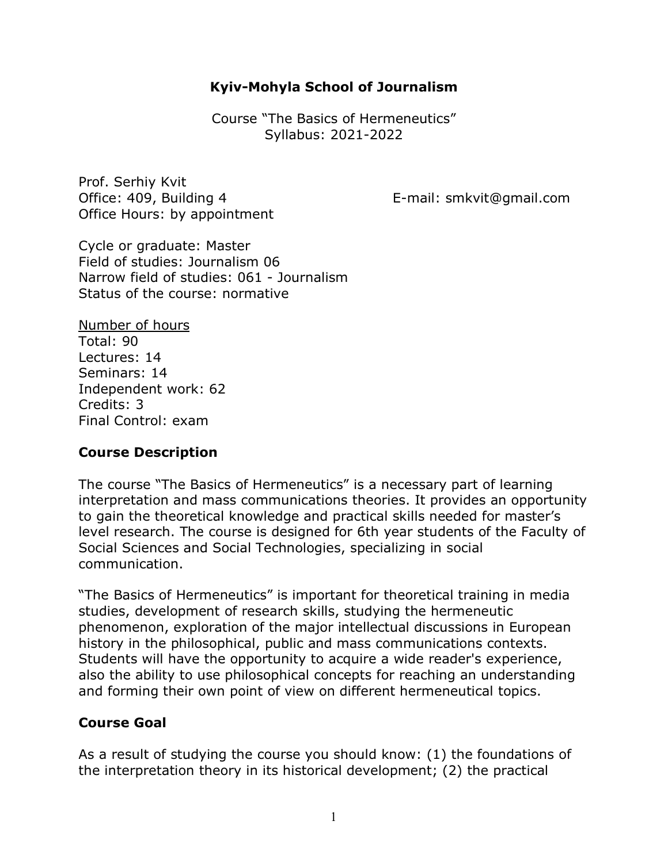#### **Kyiv-Mohyla School of Journalism**

Course "The Basics of Hermeneutics" Syllabus: 2021-2022

Prof. Serhiy Kvit Office: 409, Building 4 The E-mail: smkvit@gmail.com Office Hours: by appointment

Cycle or graduate: Master Field of studies: Journalism 06 Narrow field of studies: 061 - Journalism Status of the course: normative

Number of hours Total: 90 Lectures: 14 Seminars: 14 Independent work: 62 Credits: 3 Final Control: exam

#### **Course Description**

The course "The Basics of Hermeneutics" is a necessary part of learning interpretation and mass communications theories. It provides an opportunity to gain the theoretical knowledge and practical skills needed for master's level research. The course is designed for 6th year students of the Faculty of Social Sciences and Social Technologies, specializing in social communication.

"The Basics of Hermeneutics" is important for theoretical training in media studies, development of research skills, studying the hermeneutic phenomenon, exploration of the major intellectual discussions in European history in the philosophical, public and mass communications contexts. Students will have the opportunity to acquire a wide reader's experience, also the ability to use philosophical concepts for reaching an understanding and forming their own point of view on different hermeneutical topics.

#### **Course Goal**

As a result of studying the course you should know: (1) the foundations of the interpretation theory in its historical development; (2) the practical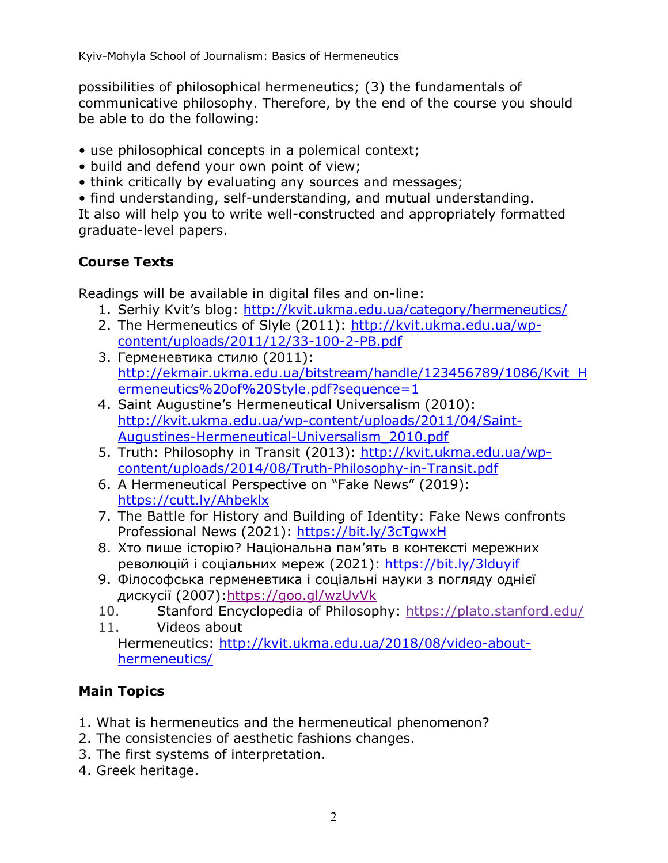possibilities of philosophical hermeneutics; (3) the fundamentals of communicative philosophy. Therefore, by the end of the course you should be able to do the following:

- use philosophical concepts in a polemical context;
- build and defend your own point of view;
- think critically by evaluating any sources and messages;
- find understanding, self-understanding, and mutual understanding.

It also will help you to write well-constructed and appropriately formatted graduate-level papers.

# **Course Texts**

Readings will be available in digital files and on-line:

- 1. Serhiy Kvit's blog: http://kvit.ukma.edu.ua/category/hermeneutics/
- 2. The Hermeneutics of Slyle (2011): http://kvit.ukma.edu.ua/wpcontent/uploads/2011/12/33-100-2-PB.pdf
- 3. Герменевтика стилю (2011): http://ekmair.ukma.edu.ua/bitstream/handle/123456789/1086/Kvit\_H ermeneutics%20of%20Style.pdf?sequence=1
- 4. Saint Augustine's Hermeneutical Universalism (2010): http://kvit.ukma.edu.ua/wp-content/uploads/2011/04/Saint-Augustines-Hermeneutical-Universalism\_2010.pdf
- 5. Truth: Philosophy in Transit (2013): http://kvit.ukma.edu.ua/wpcontent/uploads/2014/08/Truth-Philosophy-in-Transit.pdf
- 6. A Hermeneutical Perspective on "Fake News" (2019): https://cutt.ly/Ahbeklx
- 7. The Battle for History and Building of Identity: Fake News confronts Professional News (2021): https://bit.ly/3cTgwxH
- 8. Хто пише історію? Національна пам'ять в контексті мережних революцій і соціальних мереж (2021): https://bit.ly/3lduyif
- 9. Філософська герменевтика і соціальні науки з погляду однієї дискусії (2007):https://goo.gl/wzUvVk
- 10. Stanford Encyclopedia of Philosophy: https://plato.stanford.edu/
- 11. Videos about Hermeneutics: http://kvit.ukma.edu.ua/2018/08/video-abouthermeneutics/

# **Main Topics**

- 1. What is hermeneutics and the hermeneutical phenomenon?
- 2. The consistencies of aesthetic fashions changes.
- 3. The first systems of interpretation.
- 4. Greek heritage.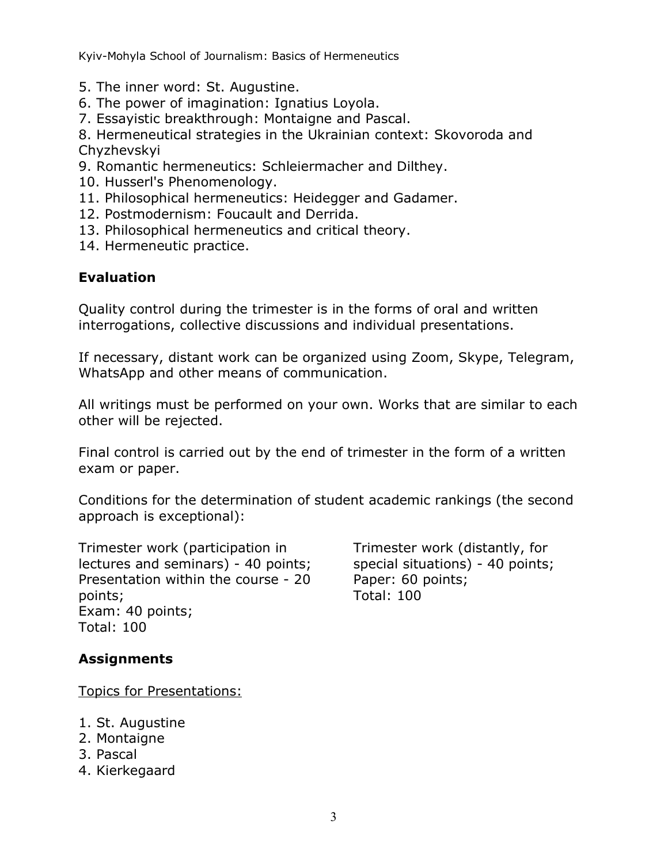- 5. The inner word: St. Augustine.
- 6. The power of imagination: Ignatius Loyola.
- 7. Essayistic breakthrough: Montaigne and Pascal.

8. Hermeneutical strategies in the Ukrainian context: Skovoroda and Chyzhevskyi

- 9. Romantic hermeneutics: Schleiermacher and Dilthey.
- 10. Husserl's Phenomenology.
- 11. Philosophical hermeneutics: Heidegger and Gadamer.
- 12. Postmodernism: Foucault and Derrida.
- 13. Philosophical hermeneutics and critical theory.
- 14. Hermeneutic practice.

#### **Evaluation**

Quality control during the trimester is in the forms of oral and written interrogations, collective discussions and individual presentations.

If necessary, distant work can be organized using Zoom, Skype, Telegram, WhatsApp and other means of communication.

All writings must be performed on your own. Works that are similar to each other will be rejected.

Final control is carried out by the end of trimester in the form of a written exam or paper.

Conditions for the determination of student academic rankings (the second approach is exceptional):

Trimester work (participation in lectures and seminars) - 40 points; Presentation within the course - 20 points; Exam: 40 points; Total: 100

Trimester work (distantly, for special situations) - 40 points; Paper: 60 points; Total: 100

# **Assignments**

Topics for Presentations:

- 1. St. Augustine
- 2. Montaigne
- 3. Pascal
- 4. Kierkegaard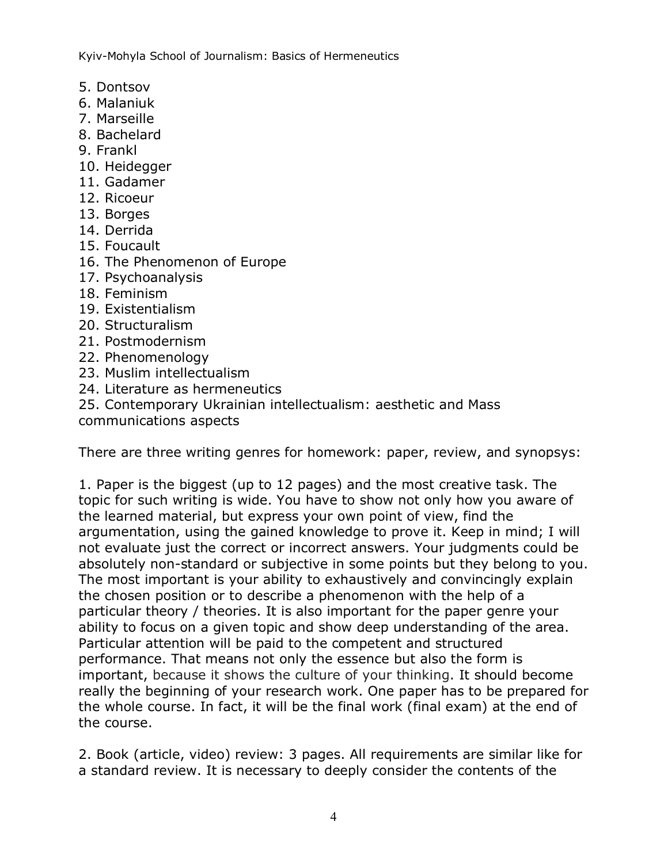- 5. Dontsov
- 6. Malaniuk
- 7. Marseille
- 8. Bachelard
- 9. Frankl
- 10. Heidegger
- 11. Gadamer
- 12. Ricoeur
- 13. Borges
- 14. Derrida
- 15. Foucault
- 16. The Phenomenon of Europe
- 17. Psychoanalysis
- 18. Feminism
- 19. Existentialism
- 20. Structuralism
- 21. Postmodernism
- 22. Phenomenology
- 23. Muslim intellectualism
- 24. Literature as hermeneutics
- 25. Contemporary Ukrainian intellectualism: aesthetic and Mass communications aspects

There are three writing genres for homework: paper, review, and synopsys:

1. Paper is the biggest (up to 12 pages) and the most creative task. The topic for such writing is wide. You have to show not only how you aware of the learned material, but express your own point of view, find the argumentation, using the gained knowledge to prove it. Keep in mind; I will not evaluate just the correct or incorrect answers. Your judgments could be absolutely non-standard or subjective in some points but they belong to you. The most important is your ability to exhaustively and convincingly explain the chosen position or to describe a phenomenon with the help of a particular theory / theories. It is also important for the paper genre your ability to focus on a given topic and show deep understanding of the area. Particular attention will be paid to the competent and structured performance. That means not only the essence but also the form is important, because it shows the culture of your thinking. It should become really the beginning of your research work. One paper has to be prepared for the whole course. In fact, it will be the final work (final exam) at the end of the course.

2. Book (article, video) review: 3 pages. All requirements are similar like for a standard review. It is necessary to deeply consider the contents of the